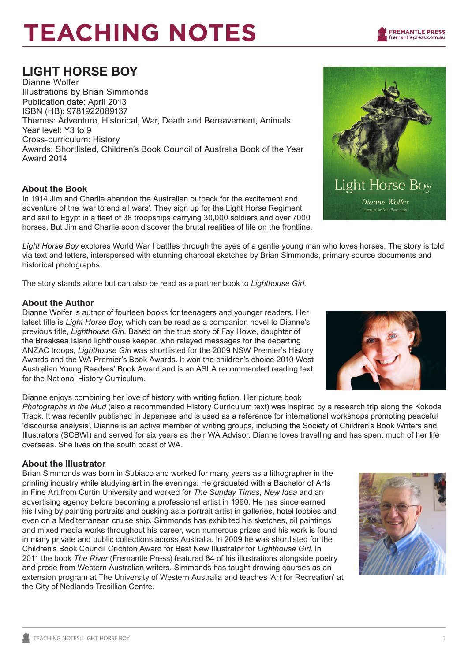# **LIGHT HORSE BOY**

Dianne Wolfer Illustrations by Brian Simmonds Publication date: April 2013 ISBN (HB): 9781922089137 Themes: Adventure, Historical, War, Death and Bereavement, Animals Year level: Y3 to 9 Cross-curriculum: History Awards: Shortlisted, Children's Book Council of Australia Book of the Year Award 2014

## **About the Book**

In 1914 Jim and Charlie abandon the Australian outback for the excitement and adventure of the 'war to end all wars'. They sign up for the Light Horse Regiment and sail to Egypt in a fleet of 38 troopships carrying 30,000 soldiers and over 7000 horses. But Jim and Charlie soon discover the brutal realities of life on the frontline.

*Light Horse Boy* explores World War I battles through the eyes of a gentle young man who loves horses. The story is told via text and letters, interspersed with stunning charcoal sketches by Brian Simmonds, primary source documents and historical photographs.

The story stands alone but can also be read as a partner book to *Lighthouse Girl*.

### **About the Author**

Dianne Wolfer is author of fourteen books for teenagers and younger readers. Her latest title is *Light Horse Boy*, which can be read as a companion novel to Dianne's previous title, *Lighthouse Girl*. Based on the true story of Fay Howe, daughter of the Breaksea Island lighthouse keeper, who relayed messages for the departing ANZAC troops, *Lighthouse Girl* was shortlisted for the 2009 NSW Premier's History Awards and the WA Premier's Book Awards. It won the children's choice 2010 West Australian Young Readers' Book Award and is an ASLA recommended reading text for the National History Curriculum.

Dianne enjoys combining her love of history with writing fiction. Her picture book

*Photographs in the Mud* (also a recommended History Curriculum text) was inspired by a research trip along the Kokoda Track. It was recently published in Japanese and is used as a reference for international workshops promoting peaceful 'discourse analysis'. Dianne is an active member of writing groups, including the Society of Children's Book Writers and Illustrators (SCBWI) and served for six years as their WA Advisor. Dianne loves travelling and has spent much of her life overseas. She lives on the south coast of WA.

## **About the Illustrator**

Brian Simmonds was born in Subiaco and worked for many years as a lithographer in the printing industry while studying art in the evenings. He graduated with a Bachelor of Arts in Fine Art from Curtin University and worked for *The Sunday Times*, *New Idea* and an advertising agency before becoming a professional artist in 1990. He has since earned his living by painting portraits and busking as a portrait artist in galleries, hotel lobbies and even on a Mediterranean cruise ship. Simmonds has exhibited his sketches, oil paintings and mixed media works throughout his career, won numerous prizes and his work is found in many private and public collections across Australia. In 2009 he was shortlisted for the Children's Book Council Crichton Award for Best New Illustrator for *Lighthouse Girl*. In 2011 the book *The River* (Fremantle Press) featured 84 of his illustrations alongside poetry and prose from Western Australian writers. Simmonds has taught drawing courses as an extension program at The University of Western Australia and teaches 'Art for Recreation' at the City of Nedlands Tresillian Centre.









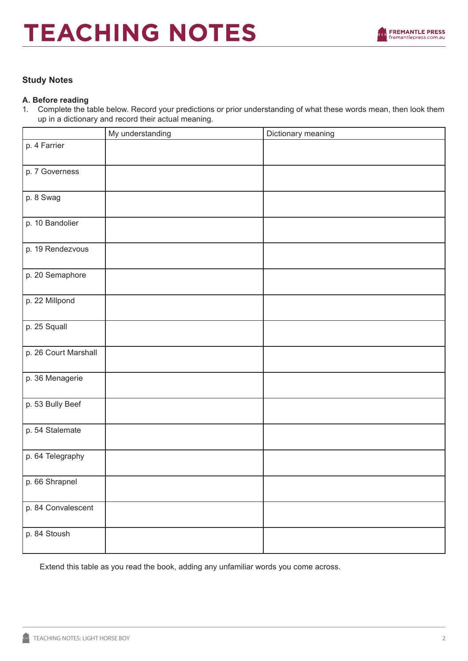

### **Study Notes**

#### **A. Before reading**

1. Complete the table below. Record your predictions or prior understanding of what these words mean, then look them up in a dictionary and record their actual meaning.

|                      | My understanding | Dictionary meaning |
|----------------------|------------------|--------------------|
| p. 4 Farrier         |                  |                    |
| p. 7 Governess       |                  |                    |
| p. 8 Swag            |                  |                    |
| p. 10 Bandolier      |                  |                    |
| p. 19 Rendezvous     |                  |                    |
| p. 20 Semaphore      |                  |                    |
| p. 22 Millpond       |                  |                    |
| p. 25 Squall         |                  |                    |
| p. 26 Court Marshall |                  |                    |
| p. 36 Menagerie      |                  |                    |
| p. 53 Bully Beef     |                  |                    |
| p. 54 Stalemate      |                  |                    |
| p. 64 Telegraphy     |                  |                    |
| p. 66 Shrapnel       |                  |                    |
| p. 84 Convalescent   |                  |                    |
| p. 84 Stoush         |                  |                    |

Extend this table as you read the book, adding any unfamiliar words you come across.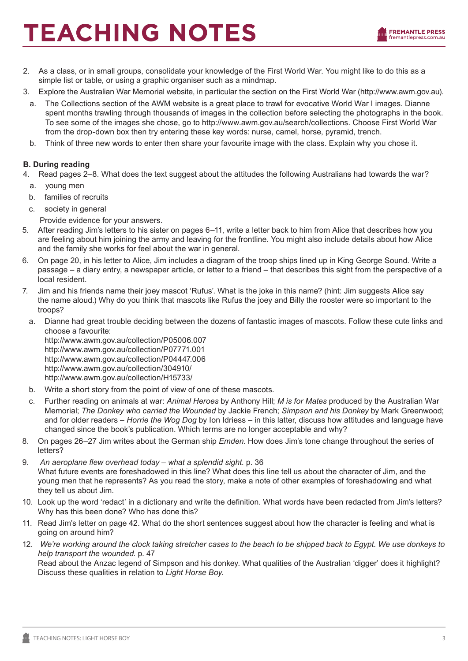

- 2. As a class, or in small groups, consolidate your knowledge of the First World War. You might like to do this as a simple list or table, or using a graphic organiser such as a mindmap.
- 3. Explore the Australian War Memorial website, in particular the section on the First World War (http://www.awm.gov.au).
	- a. The Collections section of the AWM website is a great place to trawl for evocative World War I images. Dianne spent months trawling through thousands of images in the collection before selecting the photographs in the book. To see some of the images she chose, go to http://www.awm.gov.au/search/collections. Choose First World War from the drop-down box then try entering these key words: nurse, camel, horse, pyramid, trench.
	- b. Think of three new words to enter then share your favourite image with the class. Explain why you chose it.

### **B. During reading**

- 4. Read pages 2–8. What does the text suggest about the attitudes the following Australians had towards the war?
	- a. young men
	- b. families of recruits
	- c. society in general
		- Provide evidence for your answers.
- 5. After reading Jim's letters to his sister on pages 6–11, write a letter back to him from Alice that describes how you are feeling about him joining the army and leaving for the frontline. You might also include details about how Alice and the family she works for feel about the war in general.
- 6. On page 20, in his letter to Alice, Jim includes a diagram of the troop ships lined up in King George Sound. Write a passage – a diary entry, a newspaper article, or letter to a friend – that describes this sight from the perspective of a local resident.
- 7. Jim and his friends name their joey mascot 'Rufus'. What is the joke in this name? (hint: Jim suggests Alice say the name aloud.) Why do you think that mascots like Rufus the joey and Billy the rooster were so important to the troops?
- a. Dianne had great trouble deciding between the dozens of fantastic images of mascots. Follow these cute links and choose a favourite:

http://www.awm.gov.au/collection/P05006.007 http://www.awm.gov.au/collection/P07771.001 http://www.awm.gov.au/collection/P04447.006 http://www.awm.gov.au/collection/304910/ http://www.awm.gov.au/collection/H15733/

- b. Write a short story from the point of view of one of these mascots.
- c. Further reading on animals at war: *Animal Heroes* by Anthony Hill; *M is for Mates* produced by the Australian War Memorial; *The Donkey who carried the Wounded* by Jackie French; *Simpson and his Donkey* by Mark Greenwood; and for older readers – *Horrie the Wog Dog* by Ion Idriess – in this latter, discuss how attitudes and language have changed since the book's publication. Which terms are no longer acceptable and why?
- 8. On pages 26–27 Jim writes about the German ship *Emden*. How does Jim's tone change throughout the series of letters?
- 9. *An aeroplane flew overhead today what a splendid sight*. p. 36 What future events are foreshadowed in this line? What does this line tell us about the character of Jim, and the young men that he represents? As you read the story, make a note of other examples of foreshadowing and what they tell us about Jim.
- 10. Look up the word 'redact' in a dictionary and write the definition. What words have been redacted from Jim's letters? Why has this been done? Who has done this?
- 11. Read Jim's letter on page 42. What do the short sentences suggest about how the character is feeling and what is going on around him?
- 12. *We're working around the clock taking stretcher cases to the beach to be shipped back to Egypt. We use donkeys to help transport the wounded*. p. 47

Read about the Anzac legend of Simpson and his donkey. What qualities of the Australian 'digger' does it highlight? Discuss these qualities in relation to *Light Horse Boy*.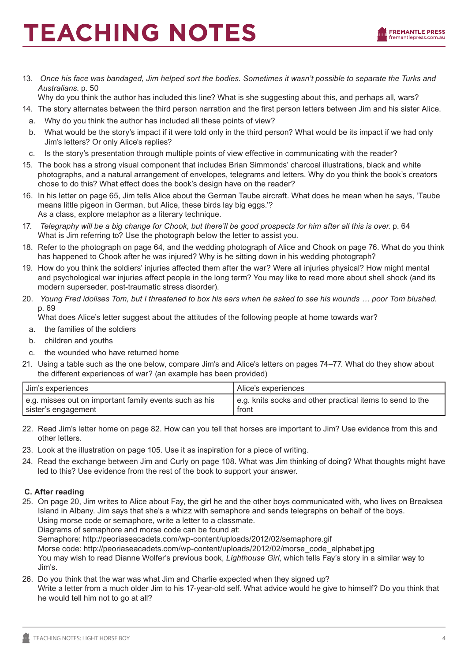

13. *Once his face was bandaged, Jim helped sort the bodies. Sometimes it wasn't possible to separate the Turks and Australians*. p. 50

Why do you think the author has included this line? What is she suggesting about this, and perhaps all, wars?

- 14. The story alternates between the third person narration and the first person letters between Jim and his sister Alice.
- a. Why do you think the author has included all these points of view?
- b. What would be the story's impact if it were told only in the third person? What would be its impact if we had only Jim's letters? Or only Alice's replies?
- c. Is the story's presentation through multiple points of view effective in communicating with the reader?
- 15. The book has a strong visual component that includes Brian Simmonds' charcoal illustrations, black and white photographs, and a natural arrangement of envelopes, telegrams and letters. Why do you think the book's creators chose to do this? What effect does the book's design have on the reader?
- 16. In his letter on page 65, Jim tells Alice about the German Taube aircraft. What does he mean when he says, 'Taube means little pigeon in German, but Alice, these birds lay big eggs.'? As a class, explore metaphor as a literary technique.
- 17. *Telegraphy will be a big change for Chook, but there'll be good prospects for him after all this is over*. p. 64 What is Jim referring to? Use the photograph below the letter to assist you.
- 18. Refer to the photograph on page 64, and the wedding photograph of Alice and Chook on page 76. What do you think has happened to Chook after he was injured? Why is he sitting down in his wedding photograph?
- 19. How do you think the soldiers' injuries affected them after the war? Were all injuries physical? How might mental and psychological war injuries affect people in the long term? You may like to read more about shell shock (and its modern superseder, post-traumatic stress disorder).
- 20. *Young Fred idolises Tom, but I threatened to box his ears when he asked to see his wounds … poor Tom blushed*. p. 69

What does Alice's letter suggest about the attitudes of the following people at home towards war?

- a. the families of the soldiers
- b. children and youths
- c. the wounded who have returned home
- 21. Using a table such as the one below, compare Jim's and Alice's letters on pages 74–77. What do they show about the different experiences of war? (an example has been provided)

| I Jim's experiences                                    | . Alice's experiences                                     |
|--------------------------------------------------------|-----------------------------------------------------------|
| e.g. misses out on important family events such as his | e.g. knits socks and other practical items to send to the |
| sister's engagement                                    | front                                                     |

- 22. Read Jim's letter home on page 82. How can you tell that horses are important to Jim? Use evidence from this and other letters.
- 23. Look at the illustration on page 105. Use it as inspiration for a piece of writing.
- 24. Read the exchange between Jim and Curly on page 108. What was Jim thinking of doing? What thoughts might have led to this? Use evidence from the rest of the book to support your answer.

#### **C. After reading**

25. On page 20, Jim writes to Alice about Fay, the girl he and the other boys communicated with, who lives on Breaksea Island in Albany. Jim says that she's a whizz with semaphore and sends telegraphs on behalf of the boys. Using morse code or semaphore, write a letter to a classmate.

Diagrams of semaphore and morse code can be found at:

Semaphore: http://peoriaseacadets.com/wp-content/uploads/2012/02/semaphore.gif

Morse code: http://peoriaseacadets.com/wp-content/uploads/2012/02/morse\_code\_alphabet.jpg

You may wish to read Dianne Wolfer's previous book, *Lighthouse Girl*, which tells Fay's story in a similar way to Jim's.

26. Do you think that the war was what Jim and Charlie expected when they signed up? Write a letter from a much older Jim to his 17-year-old self. What advice would he give to himself? Do you think that he would tell him not to go at all?